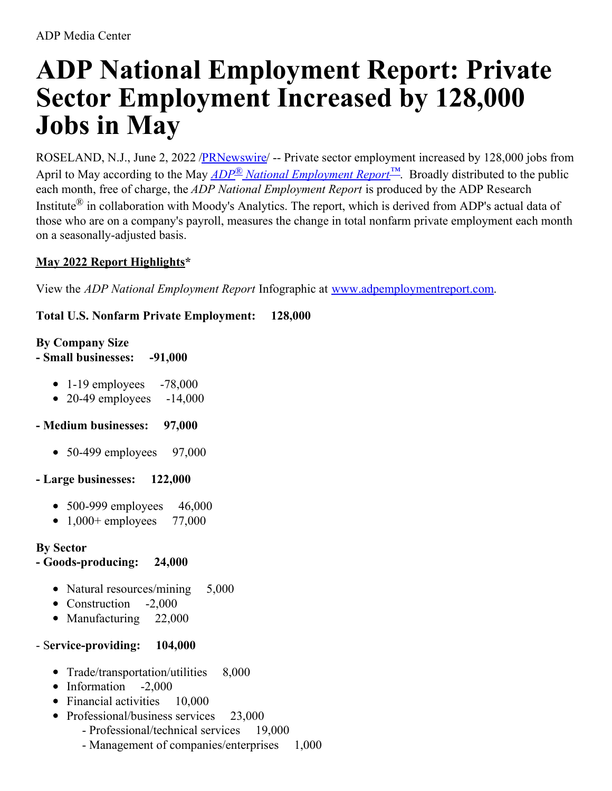# **ADP National Employment Report: Private Sector Employment Increased by 128,000 Jobs in May**

ROSELAND, N.J., June 2, 2022 /**PRNewswire/** -- Private sector employment increased by 128,000 jobs from April to May according to the May *ADP® National [Employment](https://c212.net/c/link/?t=0&l=en&o=3555850-1&h=2384197333&u=http%3A%2F%2Fwww.adpemploymentreport.com%2F&a=ADP%C2%AE+National+Employment+Report%E2%84%A2) Report™*. Broadly distributed to the public each month, free of charge, the *ADP National Employment Report* is produced by the ADP Research Institute<sup>®</sup> in collaboration with Moody's Analytics. The report, which is derived from ADP's actual data of those who are on a company's payroll, measures the change in total nonfarm private employment each month on a seasonally-adjusted basis.

#### **May 2022 Report Highlights\***

View the *ADP National Employment Report* Infographic at [www.adpemploymentreport.com](https://c212.net/c/link/?t=0&l=en&o=3555850-1&h=660735547&u=http%3A%2F%2Fwww.adpemploymentreport.com%2F&a=www.adpemploymentreport.com).

#### **Total U.S. Nonfarm Private Employment: 128,000**

# **By Company Size**

**- Small businesses: -91,000**

- $\bullet$  1-19 employees -78,000
- $\bullet$  20-49 employees -14,000

#### **- Medium businesses: 97,000**

 $\bullet$  50-499 employees 97,000

#### **- Large businesses: 122,000**

- 500-999 employees 46,000
- $1,000+$  employees  $77,000$

#### **By Sector**

#### **- Goods-producing: 24,000**

- Natural resources/mining 5,000
- Construction -2,000
- Manufacturing 22,000
- S**ervice-providing: 104,000**
	- Trade/transportation/utilities 8,000
	- Information -2,000
	- Financial activities 10,000
	- Professional/business services 23,000
		- Professional/technical services 19,000
		- Management of companies/enterprises 1,000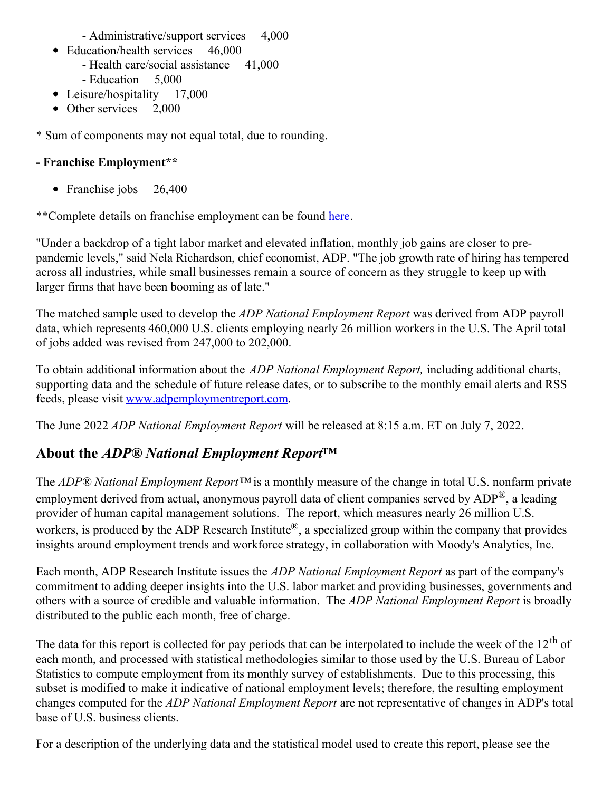- Administrative/support services 4,000
- Education/health services 46,000
	- Health care/social assistance 41,000
	- Education 5,000
- Leisure/hospitality 17,000
- Other services 2,000

\* Sum of components may not equal total, due to rounding.

### **- Franchise Employment\*\***

• Franchise jobs 26,400

\*\*Complete details on franchise employment can be found [here](https://c212.net/c/link/?t=0&l=en&o=3555850-1&h=653565268&u=http%3A%2F%2Fwww.adpemploymentreport.com%2F&a=here).

"Under a backdrop of a tight labor market and elevated inflation, monthly job gains are closer to prepandemic levels," said Nela Richardson, chief economist, ADP. "The job growth rate of hiring has tempered across all industries, while small businesses remain a source of concern as they struggle to keep up with larger firms that have been booming as of late."

The matched sample used to develop the *ADP National Employment Report* was derived from ADP payroll data, which represents 460,000 U.S. clients employing nearly 26 million workers in the U.S. The April total of jobs added was revised from 247,000 to 202,000.

To obtain additional information about the *ADP National Employment Report,* including additional charts, supporting data and the schedule of future release dates, or to subscribe to the monthly email alerts and RSS feeds, please visit [www.adpemploymentreport.com](https://c212.net/c/link/?t=0&l=en&o=3555850-1&h=660735547&u=http%3A%2F%2Fwww.adpemploymentreport.com%2F&a=www.adpemploymentreport.com).

The June 2022 *ADP National Employment Report* will be released at 8:15 a.m. ET on July 7, 2022.

# **About the** *ADP® National Employment Report™*

The *ADP® National Employment Report™* is a monthly measure of the change in total U.S. nonfarm private employment derived from actual, anonymous payroll data of client companies served by ADP®, a leading provider of human capital management solutions. The report, which measures nearly 26 million U.S. workers, is produced by the ADP Research Institute<sup>®</sup>, a specialized group within the company that provides insights around employment trends and workforce strategy, in collaboration with Moody's Analytics, Inc.

Each month, ADP Research Institute issues the *ADP National Employment Report* as part of the company's commitment to adding deeper insights into the U.S. labor market and providing businesses, governments and others with a source of credible and valuable information. The *ADP National Employment Report* is broadly distributed to the public each month, free of charge.

The data for this report is collected for pay periods that can be interpolated to include the week of the  $12<sup>th</sup>$  of each month, and processed with statistical methodologies similar to those used by the U.S. Bureau of Labor Statistics to compute employment from its monthly survey of establishments. Due to this processing, this subset is modified to make it indicative of national employment levels; therefore, the resulting employment changes computed for the *ADP National Employment Report* are not representative of changes in ADP's total base of U.S. business clients.

For a description of the underlying data and the statistical model used to create this report, please see the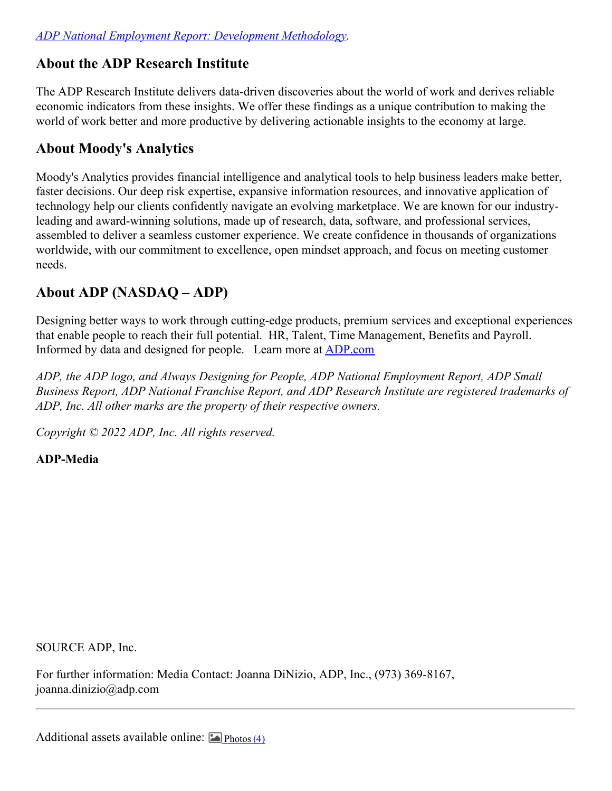#### *ADP National Employment Report: [Development](https://c212.net/c/link/?t=0&l=en&o=3555850-1&h=704626277&u=http%3A%2F%2Fadpemploymentreport.com%2Fcommon%2Fdocs%2FADP-NER-Methodology-Full-Detail.pdf&a=ADP+National+Employment+Report%3A+Development+Methodology) Methodology*.

#### **About the ADP Research Institute**

The ADP Research Institute delivers data-driven discoveries about the world of work and derives reliable economic indicators from these insights. We offer these findings as a unique contribution to making the world of work better and more productive by delivering actionable insights to the economy at large.

#### **About Moody's Analytics**

Moody's Analytics provides financial intelligence and analytical tools to help business leaders make better, faster decisions. Our deep risk expertise, expansive information resources, and innovative application of technology help our clients confidently navigate an evolving marketplace. We are known for our industryleading and award-winning solutions, made up of research, data, software, and professional services, assembled to deliver a seamless customer experience. We create confidence in thousands of organizations worldwide, with our commitment to excellence, open mindset approach, and focus on meeting customer needs.

# **About ADP (NASDAQ – ADP)**

Designing better ways to work through cutting-edge products, premium services and exceptional experiences that enable people to reach their full potential. HR, Talent, Time Management, Benefits and Payroll. Informed by data and designed for people. Learn more at [ADP.com](https://c212.net/c/link/?t=0&l=en&o=3555850-1&h=4237315708&u=http%3A%2F%2Fadp.com%2F&a=ADP.com)

*ADP, the ADP logo, and Always Designing for People, ADP National Employment Report, ADP Small Business Report, ADP National Franchise Report, and ADP Research Institute are registered trademarks of ADP, Inc. All other marks are the property of their respective owners.*

*Copyright © 2022 ADP, Inc. All rights reserved.*

**ADP-Media**

SOURCE ADP, Inc.

For further information: Media Contact: Joanna DiNizio, ADP, Inc., (973) 369-8167, joanna.dinizio@adp.com